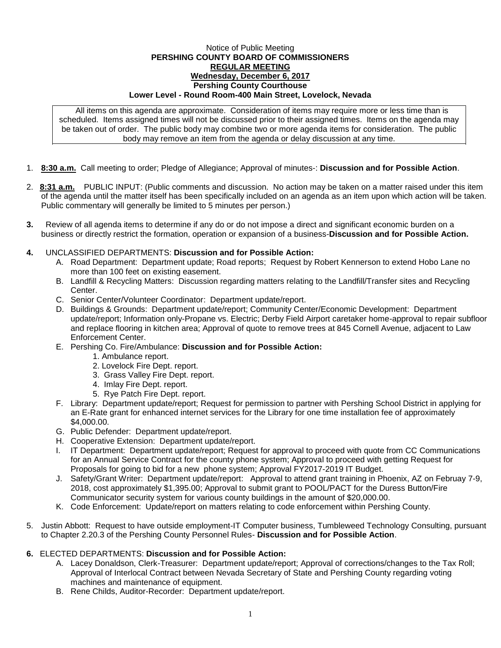## Notice of Public Meeting **PERSHING COUNTY BOARD OF COMMISSIONERS REGULAR MEETING Wednesday, December 6, 2017 Pershing County Courthouse Lower Level - Round Room-400 Main Street, Lovelock, Nevada**

All items on this agenda are approximate. Consideration of items may require more or less time than is scheduled. Items assigned times will not be discussed prior to their assigned times. Items on the agenda may be taken out of order. The public body may combine two or more agenda items for consideration. The public body may remove an item from the agenda or delay discussion at any time.

- 1. **8:30 a.m.** Call meeting to order; Pledge of Allegiance; Approval of minutes-: **Discussion and for Possible Action**.
- 2. **8:31 a.m.** PUBLIC INPUT: (Public comments and discussion. No action may be taken on a matter raised under this item of the agenda until the matter itself has been specifically included on an agenda as an item upon which action will be taken. Public commentary will generally be limited to 5 minutes per person.)
- **3.** Review of all agenda items to determine if any do or do not impose a direct and significant economic burden on a business or directly restrict the formation, operation or expansion of a business-**Discussion and for Possible Action.**
- **4.** UNCLASSIFIED DEPARTMENTS: **Discussion and for Possible Action:**
	- A. Road Department: Department update; Road reports; Request by Robert Kennerson to extend Hobo Lane no more than 100 feet on existing easement.
	- B. Landfill & Recycling Matters: Discussion regarding matters relating to the Landfill/Transfer sites and Recycling Center.
	- C. Senior Center/Volunteer Coordinator: Department update/report.
	- D. Buildings & Grounds: Department update/report; Community Center/Economic Development: Department update/report; Information only-Propane vs. Electric; Derby Field Airport caretaker home-approval to repair subfloor and replace flooring in kitchen area; Approval of quote to remove trees at 845 Cornell Avenue, adjacent to Law Enforcement Center.
	- E. Pershing Co. Fire/Ambulance: **Discussion and for Possible Action:**
		- 1. Ambulance report.
		- 2. Lovelock Fire Dept. report.
		- 3. Grass Valley Fire Dept. report.
		- 4. Imlay Fire Dept. report.
		- 5. Rye Patch Fire Dept. report.
	- F. Library: Department update/report; Request for permission to partner with Pershing School District in applying for an E-Rate grant for enhanced internet services for the Library for one time installation fee of approximately \$4,000.00.
	- G. Public Defender: Department update/report.
	- H. Cooperative Extension: Department update/report.
	- I. IT Department: Department update/report; Request for approval to proceed with quote from CC Communications for an Annual Service Contract for the county phone system; Approval to proceed with getting Request for Proposals for going to bid for a new phone system; Approval FY2017-2019 IT Budget.
	- J. Safety/Grant Writer: Department update/report: Approval to attend grant training in Phoenix, AZ on Februay 7-9, 2018, cost approximately \$1,395.00; Approval to submit grant to POOL/PACT for the Duress Button/Fire Communicator security system for various county buildings in the amount of \$20,000.00.
	- K. Code Enforcement: Update/report on matters relating to code enforcement within Pershing County.
- 5. Justin Abbott: Request to have outside employment-IT Computer business, Tumbleweed Technology Consulting, pursuant to Chapter 2.20.3 of the Pershing County Personnel Rules- **Discussion and for Possible Action**.

## **6.** ELECTED DEPARTMENTS: **Discussion and for Possible Action:**

- A. Lacey Donaldson, Clerk-Treasurer: Department update/report; Approval of corrections/changes to the Tax Roll; Approval of Interlocal Contract between Nevada Secretary of State and Pershing County regarding voting machines and maintenance of equipment.
- B. Rene Childs, Auditor-Recorder: Department update/report.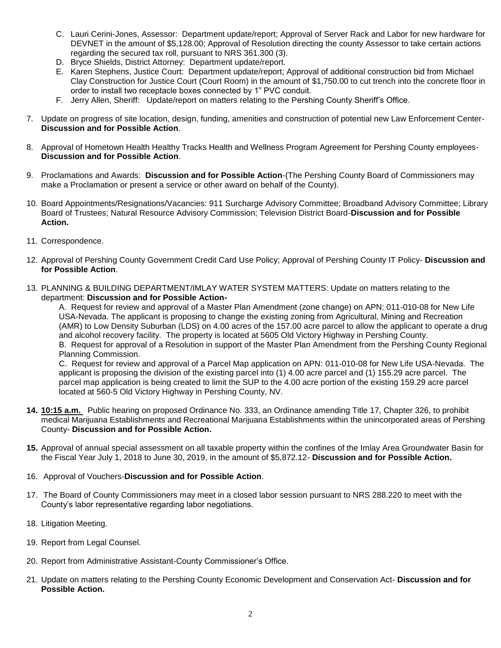- C. Lauri Cerini-Jones, Assessor: Department update/report; Approval of Server Rack and Labor for new hardware for DEVNET in the amount of \$5,128.00; Approval of Resolution directing the county Assessor to take certain actions regarding the secured tax roll, pursuant to NRS 361.300 (3).
- D. Bryce Shields, District Attorney: Department update/report.
- E. Karen Stephens, Justice Court: Department update/report; Approval of additional construction bid from Michael Clay Construction for Justice Court (Court Room) in the amount of \$1,750.00 to cut trench into the concrete floor in order to install two receptacle boxes connected by 1" PVC conduit.
- F. Jerry Allen, Sheriff: Update/report on matters relating to the Pershing County Sheriff's Office.
- 7. Update on progress of site location, design, funding, amenities and construction of potential new Law Enforcement Center-**Discussion and for Possible Action**.
- 8. Approval of Hometown Health Healthy Tracks Health and Wellness Program Agreement for Pershing County employees-**Discussion and for Possible Action**.
- 9. Proclamations and Awards: **Discussion and for Possible Action**-(The Pershing County Board of Commissioners may make a Proclamation or present a service or other award on behalf of the County).
- 10. Board Appointments/Resignations/Vacancies: 911 Surcharge Advisory Committee; Broadband Advisory Committee; Library Board of Trustees; Natural Resource Advisory Commission; Television District Board-**Discussion and for Possible Action.**
- 11. Correspondence.
- 12. Approval of Pershing County Government Credit Card Use Policy; Approval of Pershing County IT Policy- **Discussion and for Possible Action**.
- 13. PLANNING & BUILDING DEPARTMENT/IMLAY WATER SYSTEM MATTERS: Update on matters relating to the department: **Discussion and for Possible Action-**

A. Request for review and approval of a Master Plan Amendment (zone change) on APN: 011-010-08 for New Life USA-Nevada. The applicant is proposing to change the existing zoning from Agricultural, Mining and Recreation (AMR) to Low Density Suburban (LDS) on 4.00 acres of the 157.00 acre parcel to allow the applicant to operate a drug and alcohol recovery facility. The property is located at 5605 Old Victory Highway in Pershing County. B. Request for approval of a Resolution in support of the Master Plan Amendment from the Pershing County Regional Planning Commission.

C. Request for review and approval of a Parcel Map application on APN: 011-010-08 for New Life USA-Nevada. The applicant is proposing the division of the existing parcel into (1) 4.00 acre parcel and (1) 155.29 acre parcel. The parcel map application is being created to limit the SUP to the 4.00 acre portion of the existing 159.29 acre parcel located at 560-5 Old Victory Highway in Pershing County, NV.

- **14. 10:15 a.m.** Public hearing on proposed Ordinance No. 333, an Ordinance amending Title 17, Chapter 326, to prohibit medical Marijuana Establishments and Recreational Marijuana Establishments within the unincorporated areas of Pershing County- **Discussion and for Possible Action.**
- **15.** Approval of annual special assessment on all taxable property within the confines of the Imlay Area Groundwater Basin for the Fiscal Year July 1, 2018 to June 30, 2019, in the amount of \$5,872.12- **Discussion and for Possible Action.**
- 16. Approval of Vouchers-**Discussion and for Possible Action**.
- 17. The Board of County Commissioners may meet in a closed labor session pursuant to NRS 288.220 to meet with the County's labor representative regarding labor negotiations.
- 18. Litigation Meeting.
- 19. Report from Legal Counsel.
- 20. Report from Administrative Assistant-County Commissioner's Office.
- 21. Update on matters relating to the Pershing County Economic Development and Conservation Act- **Discussion and for Possible Action.**